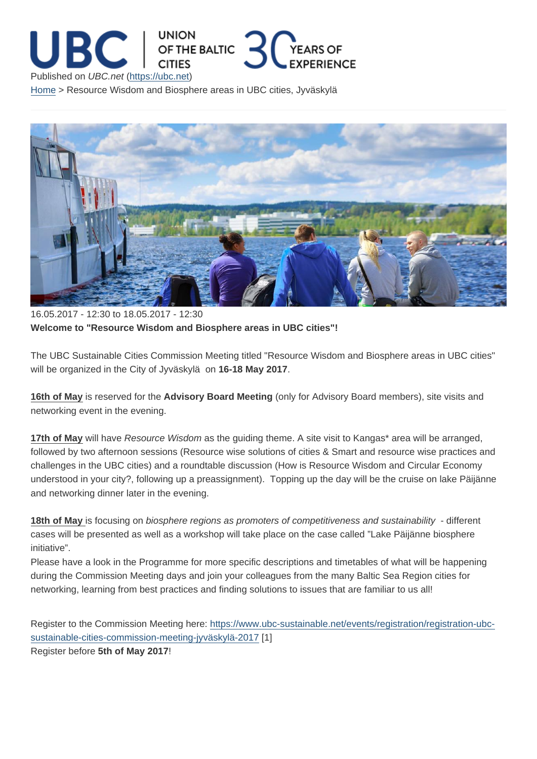16.05.2017 - 12:30 to 18.05.2017 - 12:30 Welcome to "Resource Wisdom and Biosphere areas in UBC cities"!

The UBC Sustainable Cities Commission Meeting titled "Resource Wisdom and Biosphere areas in UBC cities" will be organized in the City of Jyväskylä on 16-18 May 2017.

16th of May is reserved for the Advisory Board Meeting (only for Advisory Board members), site visits and networking event in the evening.

17th of May will have Resource Wisdom as the guiding theme. A site visit to Kangas\* area will be arranged, followed by two afternoon sessions (Resource wise solutions of cities & Smart and resource wise practices and challenges in the UBC cities) and a roundtable discussion (How is Resource Wisdom and Circular Economy understood in your city?, following up a preassignment). Topping up the day will be the cruise on lake Päijänne and networking dinner later in the evening.

18th of May is focusing on biosphere regions as promoters of competitiveness and sustainability - different cases will be presented as well as a workshop will take place on the case called "Lake Päijänne biosphere initiative".

Please have a look in the Programme for more specific descriptions and timetables of what will be happening during the Commission Meeting days and join your colleagues from the many Baltic Sea Region cities for networking, learning from best practices and finding solutions to issues that are familiar to us all!

Register to the Commission Meeting here: https://www.ubc-sustainable.net/events/registration/registration-ubcsustainable-cities-commission-meeting-jyväskylä-2017 [1]

Register before 5th of May 2017 !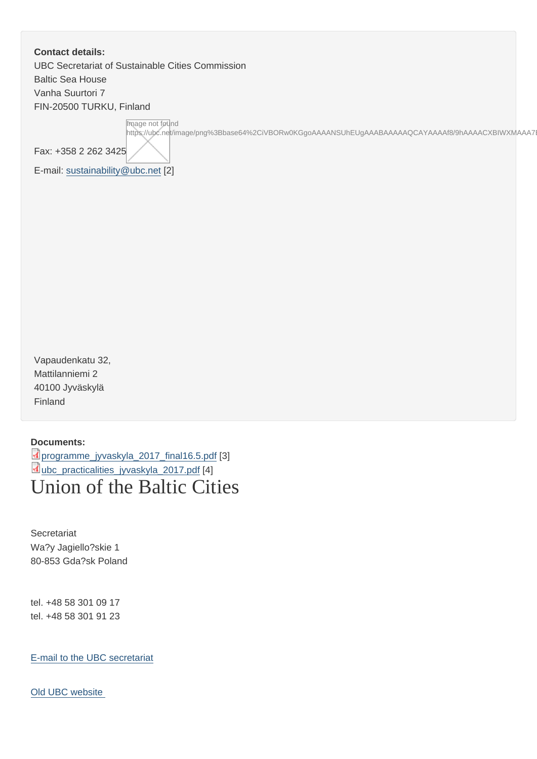Contact details: UBC Secretariat of Sustainable Cities Commission Baltic Sea House Vanha Suurtori 7 FIN-20500 TURKU, Finland

Image not found

https://ubc.net/image/png%3Bbase64%2CiVBORw0KGgoAAAANSUhEUgAAABAAAAAQCAYAAAAf8/9hAAAACXBIWXMAAA7EAA4

Fax: +358 2 262 3425

E-mail: sustainability@ubc.net [2]

Vapaudenkatu 32, Mattilanniemi 2 40100 Jyväskylä Finland

Documents:

programme\_jyvaskyla\_2017\_final16.5.pdf [3] ubc\_practicalities\_jyvaskyla\_2017.pdf [4] [Union of the Baltic Ci](https://ubc.net/sites/default/files/programme_jyvaskyla_2017_final16.5_1.pdf)ties

**Secretariat** Wa?y Jagiello?skie 1 80-853 Gda?sk Poland

tel. +48 58 301 09 17 tel. +48 58 301 91 23

E-mail to the UBC secretariat

[Old UBC website](mailto:info@ubc.net)